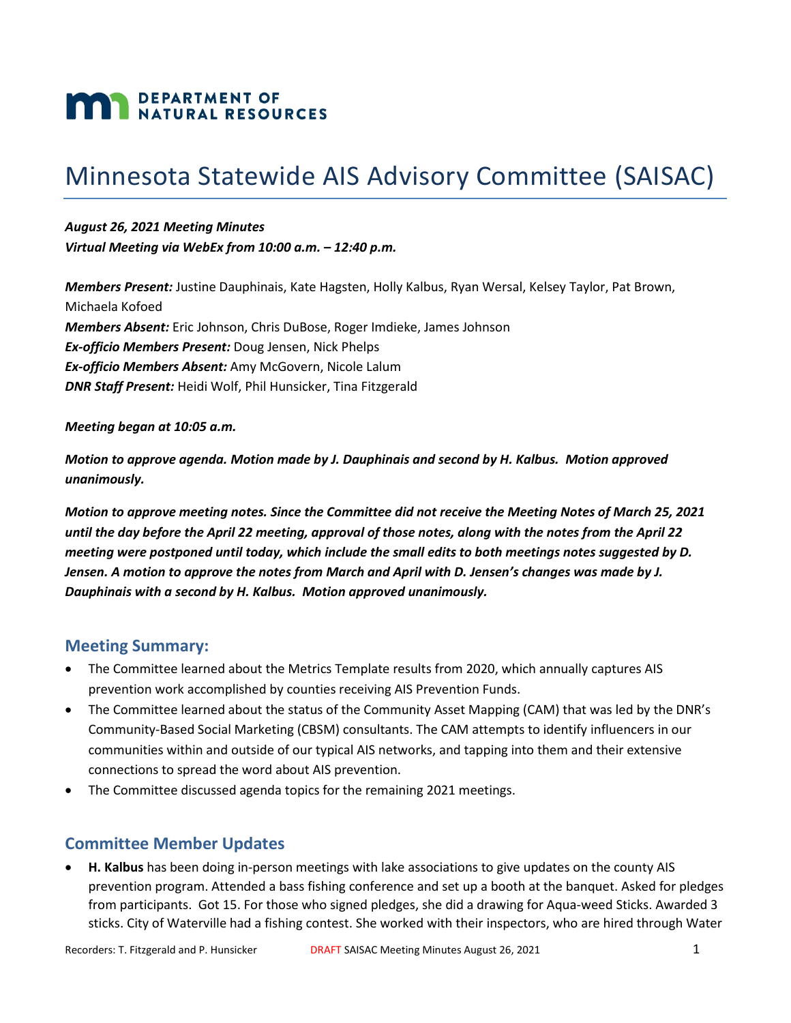# **MAN DEPARTMENT OF NATURAL RESOURCES**

# Minnesota Statewide AIS Advisory Committee (SAISAC)

*August 26, 2021 Meeting Minutes Virtual Meeting via WebEx from 10:00 a.m. – 12:40 p.m.*

*Members Present:* Justine Dauphinais, Kate Hagsten, Holly Kalbus, Ryan Wersal, Kelsey Taylor, Pat Brown, Michaela Kofoed *Members Absent:* Eric Johnson, Chris DuBose, Roger Imdieke, James Johnson *Ex-officio Members Present:* Doug Jensen, Nick Phelps *Ex-officio Members Absent:* Amy McGovern, Nicole Lalum *DNR Staff Present:* Heidi Wolf, Phil Hunsicker, Tina Fitzgerald

*Meeting began at 10:05 a.m.*

*Motion to approve agenda. Motion made by J. Dauphinais and second by H. Kalbus. Motion approved unanimously.*

*Motion to approve meeting notes. Since the Committee did not receive the Meeting Notes of March 25, 2021 until the day before the April 22 meeting, approval of those notes, along with the notes from the April 22 meeting were postponed until today, which include the small edits to both meetings notes suggested by D. Jensen. A motion to approve the notes from March and April with D. Jensen's changes was made by J. Dauphinais with a second by H. Kalbus. Motion approved unanimously.* 

#### **Meeting Summary:**

- The Committee learned about the Metrics Template results from 2020, which annually captures AIS prevention work accomplished by counties receiving AIS Prevention Funds.
- The Committee learned about the status of the Community Asset Mapping (CAM) that was led by the DNR's Community-Based Social Marketing (CBSM) consultants. The CAM attempts to identify influencers in our communities within and outside of our typical AIS networks, and tapping into them and their extensive connections to spread the word about AIS prevention.
- The Committee discussed agenda topics for the remaining 2021 meetings.

### **Committee Member Updates**

• **H. Kalbus** has been doing in-person meetings with lake associations to give updates on the county AIS prevention program. Attended a bass fishing conference and set up a booth at the banquet. Asked for pledges from participants. Got 15. For those who signed pledges, she did a drawing for Aqua-weed Sticks. Awarded 3 sticks. City of Waterville had a fishing contest. She worked with their inspectors, who are hired through Water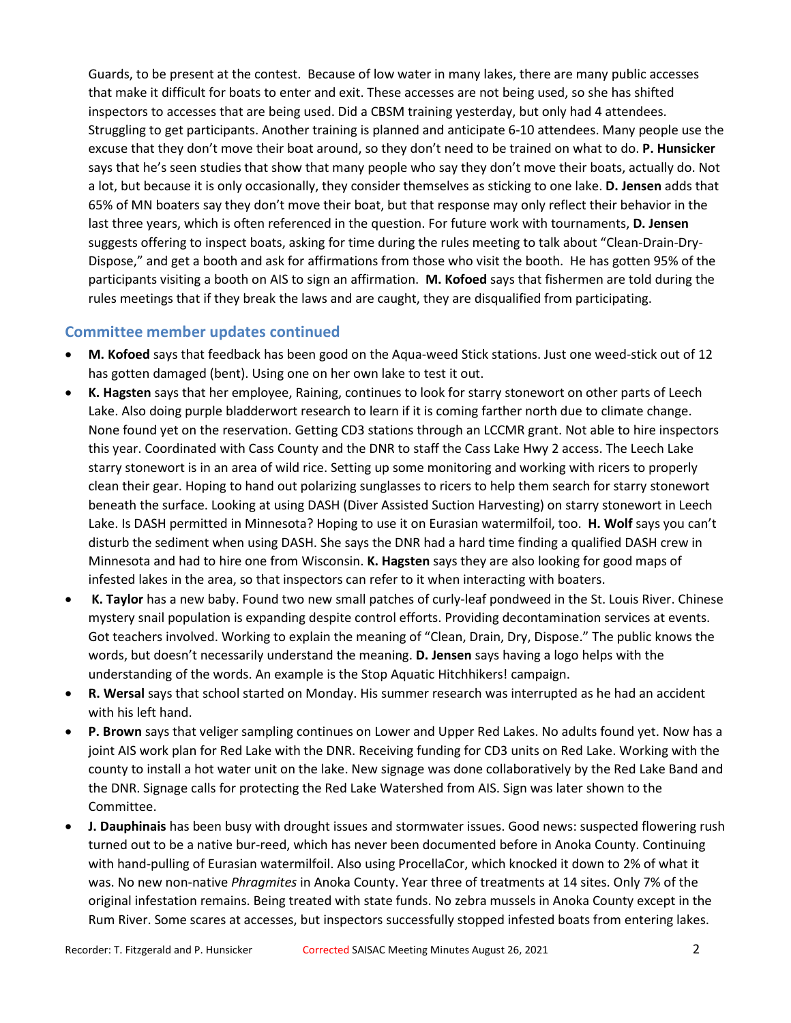Guards, to be present at the contest. Because of low water in many lakes, there are many public accesses that make it difficult for boats to enter and exit. These accesses are not being used, so she has shifted inspectors to accesses that are being used. Did a CBSM training yesterday, but only had 4 attendees. Struggling to get participants. Another training is planned and anticipate 6-10 attendees. Many people use the excuse that they don't move their boat around, so they don't need to be trained on what to do. **P. Hunsicker**  says that he's seen studies that show that many people who say they don't move their boats, actually do. Not a lot, but because it is only occasionally, they consider themselves as sticking to one lake. **D. Jensen** adds that 65% of MN boaters say they don't move their boat, but that response may only reflect their behavior in the last three years, which is often referenced in the question. For future work with tournaments, **D. Jensen** suggests offering to inspect boats, asking for time during the rules meeting to talk about "Clean-Drain-Dry-Dispose," and get a booth and ask for affirmations from those who visit the booth. He has gotten 95% of the participants visiting a booth on AIS to sign an affirmation. **M. Kofoed** says that fishermen are told during the rules meetings that if they break the laws and are caught, they are disqualified from participating.

#### **Committee member updates continued**

- **M. Kofoed** says that feedback has been good on the Aqua-weed Stick stations. Just one weed-stick out of 12 has gotten damaged (bent). Using one on her own lake to test it out.
- **K. Hagsten** says that her employee, Raining, continues to look for starry stonewort on other parts of Leech Lake. Also doing purple bladderwort research to learn if it is coming farther north due to climate change. None found yet on the reservation. Getting CD3 stations through an LCCMR grant. Not able to hire inspectors this year. Coordinated with Cass County and the DNR to staff the Cass Lake Hwy 2 access. The Leech Lake starry stonewort is in an area of wild rice. Setting up some monitoring and working with ricers to properly clean their gear. Hoping to hand out polarizing sunglasses to ricers to help them search for starry stonewort beneath the surface. Looking at using DASH (Diver Assisted Suction Harvesting) on starry stonewort in Leech Lake. Is DASH permitted in Minnesota? Hoping to use it on Eurasian watermilfoil, too. **H. Wolf** says you can't disturb the sediment when using DASH. She says the DNR had a hard time finding a qualified DASH crew in Minnesota and had to hire one from Wisconsin. **K. Hagsten** says they are also looking for good maps of infested lakes in the area, so that inspectors can refer to it when interacting with boaters.
- **K. Taylor** has a new baby. Found two new small patches of curly-leaf pondweed in the St. Louis River. Chinese mystery snail population is expanding despite control efforts. Providing decontamination services at events. Got teachers involved. Working to explain the meaning of "Clean, Drain, Dry, Dispose." The public knows the words, but doesn't necessarily understand the meaning. **D. Jensen** says having a logo helps with the understanding of the words. An example is the Stop Aquatic Hitchhikers! campaign.
- **R. Wersal** says that school started on Monday. His summer research was interrupted as he had an accident with his left hand.
- **P. Brown** says that veliger sampling continues on Lower and Upper Red Lakes. No adults found yet. Now has a joint AIS work plan for Red Lake with the DNR. Receiving funding for CD3 units on Red Lake. Working with the county to install a hot water unit on the lake. New signage was done collaboratively by the Red Lake Band and the DNR. Signage calls for protecting the Red Lake Watershed from AIS. Sign was later shown to the Committee.
- **J. Dauphinais** has been busy with drought issues and stormwater issues. Good news: suspected flowering rush turned out to be a native bur-reed, which has never been documented before in Anoka County. Continuing with hand-pulling of Eurasian watermilfoil. Also using ProcellaCor, which knocked it down to 2% of what it was. No new non-native *Phragmites* in Anoka County. Year three of treatments at 14 sites. Only 7% of the original infestation remains. Being treated with state funds. No zebra mussels in Anoka County except in the Rum River. Some scares at accesses, but inspectors successfully stopped infested boats from entering lakes.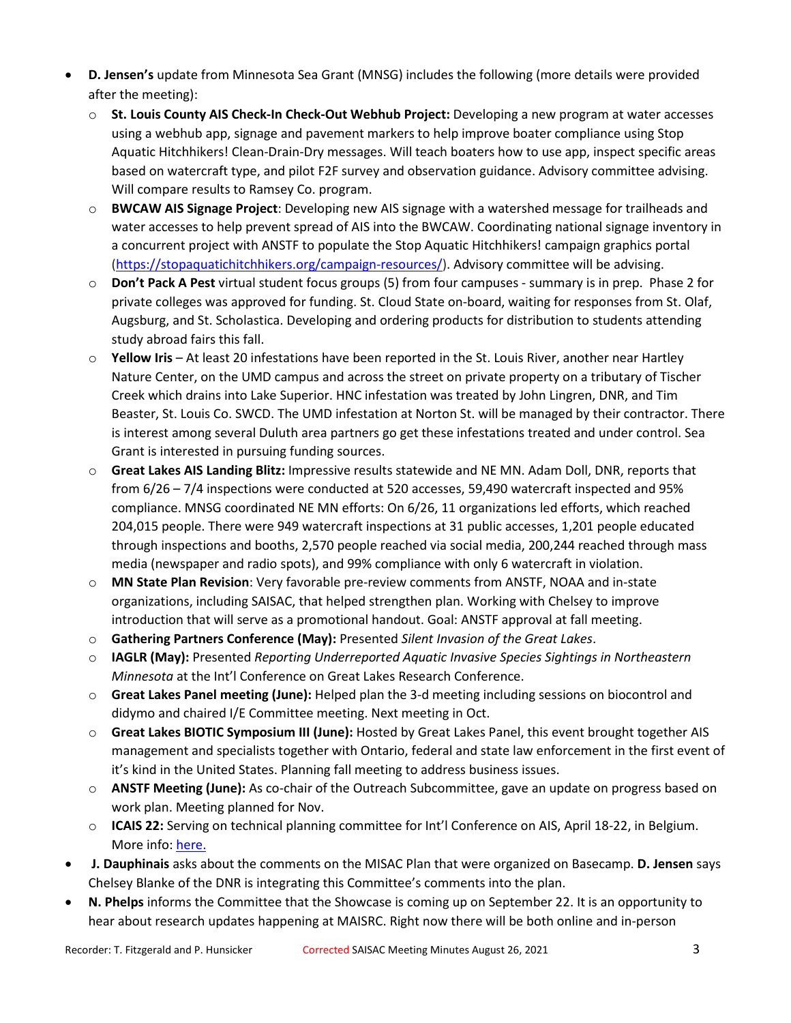- **D. Jensen's** update from Minnesota Sea Grant (MNSG) includes the following (more details were provided after the meeting):
	- o **St. Louis County AIS Check-In Check-Out Webhub Project:** Developing a new program at water accesses using a webhub app, signage and pavement markers to help improve boater compliance using Stop Aquatic Hitchhikers! Clean-Drain-Dry messages. Will teach boaters how to use app, inspect specific areas based on watercraft type, and pilot F2F survey and observation guidance. Advisory committee advising. Will compare results to Ramsey Co. program.
	- o **BWCAW AIS Signage Project**: Developing new AIS signage with a watershed message for trailheads and water accesses to help prevent spread of AIS into the BWCAW. Coordinating national signage inventory in a concurrent project with ANSTF to populate the Stop Aquatic Hitchhikers! campaign graphics portal [\(https://stopaquatichitchhikers.org/campaign-resources/\)](https://stopaquatichitchhikers.org/campaign-resources/). Advisory committee will be advising.
	- o **Don't Pack A Pest** virtual student focus groups (5) from four campuses summary is in prep. Phase 2 for private colleges was approved for funding. St. Cloud State on-board, waiting for responses from St. Olaf, Augsburg, and St. Scholastica. Developing and ordering products for distribution to students attending study abroad fairs this fall.
	- o **Yellow Iris** At least 20 infestations have been reported in the St. Louis River, another near Hartley Nature Center, on the UMD campus and across the street on private property on a tributary of Tischer Creek which drains into Lake Superior. HNC infestation was treated by John Lingren, DNR, and Tim Beaster, St. Louis Co. SWCD. The UMD infestation at Norton St. will be managed by their contractor. There is interest among several Duluth area partners go get these infestations treated and under control. Sea Grant is interested in pursuing funding sources.
	- o **Great Lakes AIS Landing Blitz:** Impressive results statewide and NE MN. Adam Doll, DNR, reports that from 6/26 – 7/4 inspections were conducted at 520 accesses, 59,490 watercraft inspected and 95% compliance. MNSG coordinated NE MN efforts: On 6/26, 11 organizations led efforts, which reached 204,015 people. There were 949 watercraft inspections at 31 public accesses, 1,201 people educated through inspections and booths, 2,570 people reached via social media, 200,244 reached through mass media (newspaper and radio spots), and 99% compliance with only 6 watercraft in violation.
	- o **MN State Plan Revision**: Very favorable pre-review comments from ANSTF, NOAA and in-state organizations, including SAISAC, that helped strengthen plan. Working with Chelsey to improve introduction that will serve as a promotional handout. Goal: ANSTF approval at fall meeting.
	- o **Gathering Partners Conference (May):** Presented *Silent Invasion of the Great Lakes*.
	- o **IAGLR (May):** Presented *Reporting Underreported Aquatic Invasive Species Sightings in Northeastern Minnesota* at the Int'l Conference on Great Lakes Research Conference.
	- o **Great Lakes Panel meeting (June):** Helped plan the 3-d meeting including sessions on biocontrol and didymo and chaired I/E Committee meeting. Next meeting in Oct.
	- o **Great Lakes BIOTIC Symposium III (June):** Hosted by Great Lakes Panel, this event brought together AIS management and specialists together with Ontario, federal and state law enforcement in the first event of it's kind in the United States. Planning fall meeting to address business issues.
	- o **ANSTF Meeting (June):** As co-chair of the Outreach Subcommittee, gave an update on progress based on work plan. Meeting planned for Nov.
	- o **ICAIS 22:** Serving on technical planning committee for Int'l Conference on AIS, April 18-22, in Belgium. More info: [here.](https://icais.org/save-the-date/)
- **J. Dauphinais** asks about the comments on the MISAC Plan that were organized on Basecamp. **D. Jensen** says Chelsey Blanke of the DNR is integrating this Committee's comments into the plan.
- **N. Phelps** informs the Committee that the Showcase is coming up on September 22. It is an opportunity to hear about research updates happening at MAISRC. Right now there will be both online and in-person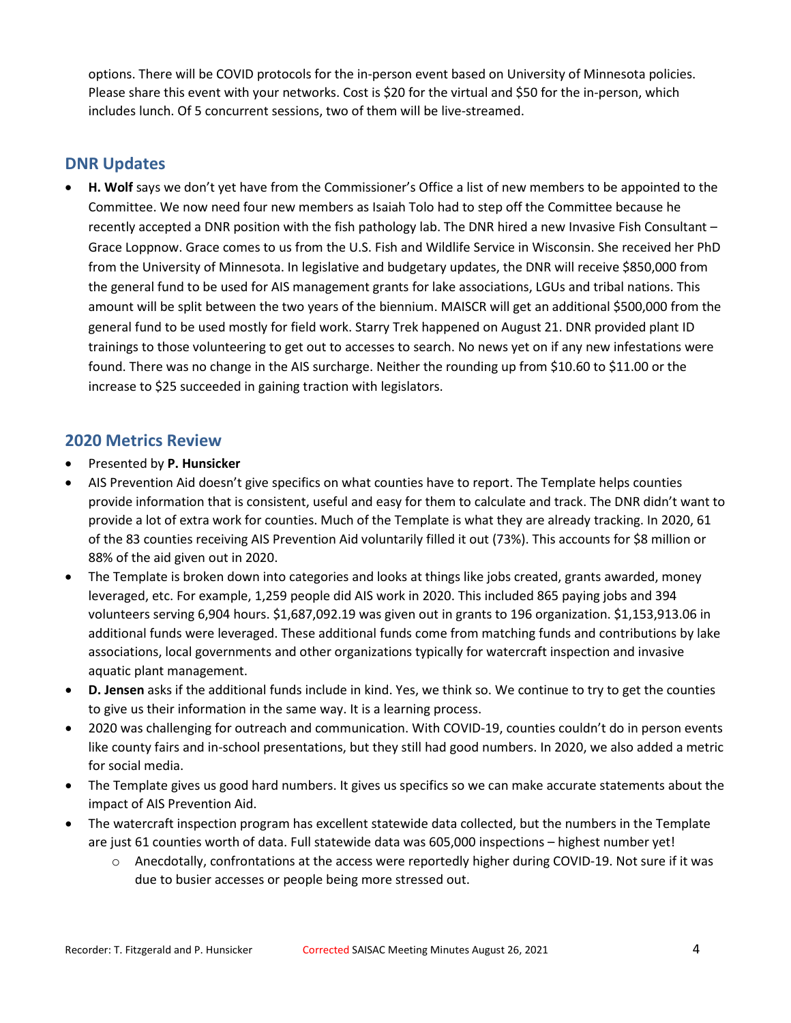options. There will be COVID protocols for the in-person event based on University of Minnesota policies. Please share this event with your networks. Cost is \$20 for the virtual and \$50 for the in-person, which includes lunch. Of 5 concurrent sessions, two of them will be live-streamed.

# **DNR Updates**

• **H. Wolf** says we don't yet have from the Commissioner's Office a list of new members to be appointed to the Committee. We now need four new members as Isaiah Tolo had to step off the Committee because he recently accepted a DNR position with the fish pathology lab. The DNR hired a new Invasive Fish Consultant – Grace Loppnow. Grace comes to us from the U.S. Fish and Wildlife Service in Wisconsin. She received her PhD from the University of Minnesota. In legislative and budgetary updates, the DNR will receive \$850,000 from the general fund to be used for AIS management grants for lake associations, LGUs and tribal nations. This amount will be split between the two years of the biennium. MAISCR will get an additional \$500,000 from the general fund to be used mostly for field work. Starry Trek happened on August 21. DNR provided plant ID trainings to those volunteering to get out to accesses to search. No news yet on if any new infestations were found. There was no change in the AIS surcharge. Neither the rounding up from \$10.60 to \$11.00 or the increase to \$25 succeeded in gaining traction with legislators.

### **2020 Metrics Review**

- Presented by **P. Hunsicker**
- AIS Prevention Aid doesn't give specifics on what counties have to report. The Template helps counties provide information that is consistent, useful and easy for them to calculate and track. The DNR didn't want to provide a lot of extra work for counties. Much of the Template is what they are already tracking. In 2020, 61 of the 83 counties receiving AIS Prevention Aid voluntarily filled it out (73%). This accounts for \$8 million or 88% of the aid given out in 2020.
- The Template is broken down into categories and looks at things like jobs created, grants awarded, money leveraged, etc. For example, 1,259 people did AIS work in 2020. This included 865 paying jobs and 394 volunteers serving 6,904 hours. \$1,687,092.19 was given out in grants to 196 organization. \$1,153,913.06 in additional funds were leveraged. These additional funds come from matching funds and contributions by lake associations, local governments and other organizations typically for watercraft inspection and invasive aquatic plant management.
- **D. Jensen** asks if the additional funds include in kind. Yes, we think so. We continue to try to get the counties to give us their information in the same way. It is a learning process.
- 2020 was challenging for outreach and communication. With COVID-19, counties couldn't do in person events like county fairs and in-school presentations, but they still had good numbers. In 2020, we also added a metric for social media.
- The Template gives us good hard numbers. It gives us specifics so we can make accurate statements about the impact of AIS Prevention Aid.
- The watercraft inspection program has excellent statewide data collected, but the numbers in the Template are just 61 counties worth of data. Full statewide data was 605,000 inspections – highest number yet!
	- o Anecdotally, confrontations at the access were reportedly higher during COVID-19. Not sure if it was due to busier accesses or people being more stressed out.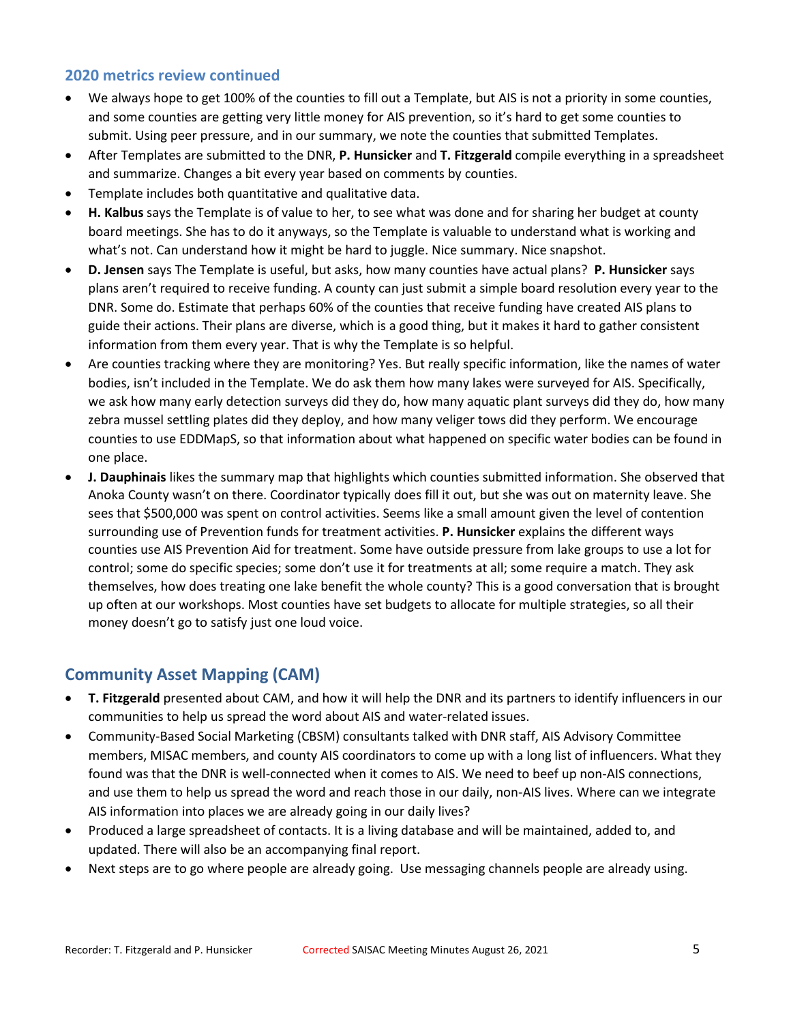#### **2020 metrics review continued**

- We always hope to get 100% of the counties to fill out a Template, but AIS is not a priority in some counties, and some counties are getting very little money for AIS prevention, so it's hard to get some counties to submit. Using peer pressure, and in our summary, we note the counties that submitted Templates.
- After Templates are submitted to the DNR, **P. Hunsicker** and **T. Fitzgerald** compile everything in a spreadsheet and summarize. Changes a bit every year based on comments by counties.
- Template includes both quantitative and qualitative data.
- **H. Kalbus** says the Template is of value to her, to see what was done and for sharing her budget at county board meetings. She has to do it anyways, so the Template is valuable to understand what is working and what's not. Can understand how it might be hard to juggle. Nice summary. Nice snapshot.
- **D. Jensen** says The Template is useful, but asks, how many counties have actual plans? **P. Hunsicker** says plans aren't required to receive funding. A county can just submit a simple board resolution every year to the DNR. Some do. Estimate that perhaps 60% of the counties that receive funding have created AIS plans to guide their actions. Their plans are diverse, which is a good thing, but it makes it hard to gather consistent information from them every year. That is why the Template is so helpful.
- Are counties tracking where they are monitoring? Yes. But really specific information, like the names of water bodies, isn't included in the Template. We do ask them how many lakes were surveyed for AIS. Specifically, we ask how many early detection surveys did they do, how many aquatic plant surveys did they do, how many zebra mussel settling plates did they deploy, and how many veliger tows did they perform. We encourage counties to use EDDMapS, so that information about what happened on specific water bodies can be found in one place.
- **J. Dauphinais** likes the summary map that highlights which counties submitted information. She observed that Anoka County wasn't on there. Coordinator typically does fill it out, but she was out on maternity leave. She sees that \$500,000 was spent on control activities. Seems like a small amount given the level of contention surrounding use of Prevention funds for treatment activities. **P. Hunsicker** explains the different ways counties use AIS Prevention Aid for treatment. Some have outside pressure from lake groups to use a lot for control; some do specific species; some don't use it for treatments at all; some require a match. They ask themselves, how does treating one lake benefit the whole county? This is a good conversation that is brought up often at our workshops. Most counties have set budgets to allocate for multiple strategies, so all their money doesn't go to satisfy just one loud voice.

# **Community Asset Mapping (CAM)**

- **T. Fitzgerald** presented about CAM, and how it will help the DNR and its partners to identify influencers in our communities to help us spread the word about AIS and water-related issues.
- Community-Based Social Marketing (CBSM) consultants talked with DNR staff, AIS Advisory Committee members, MISAC members, and county AIS coordinators to come up with a long list of influencers. What they found was that the DNR is well-connected when it comes to AIS. We need to beef up non-AIS connections, and use them to help us spread the word and reach those in our daily, non-AIS lives. Where can we integrate AIS information into places we are already going in our daily lives?
- Produced a large spreadsheet of contacts. It is a living database and will be maintained, added to, and updated. There will also be an accompanying final report.
- Next steps are to go where people are already going. Use messaging channels people are already using.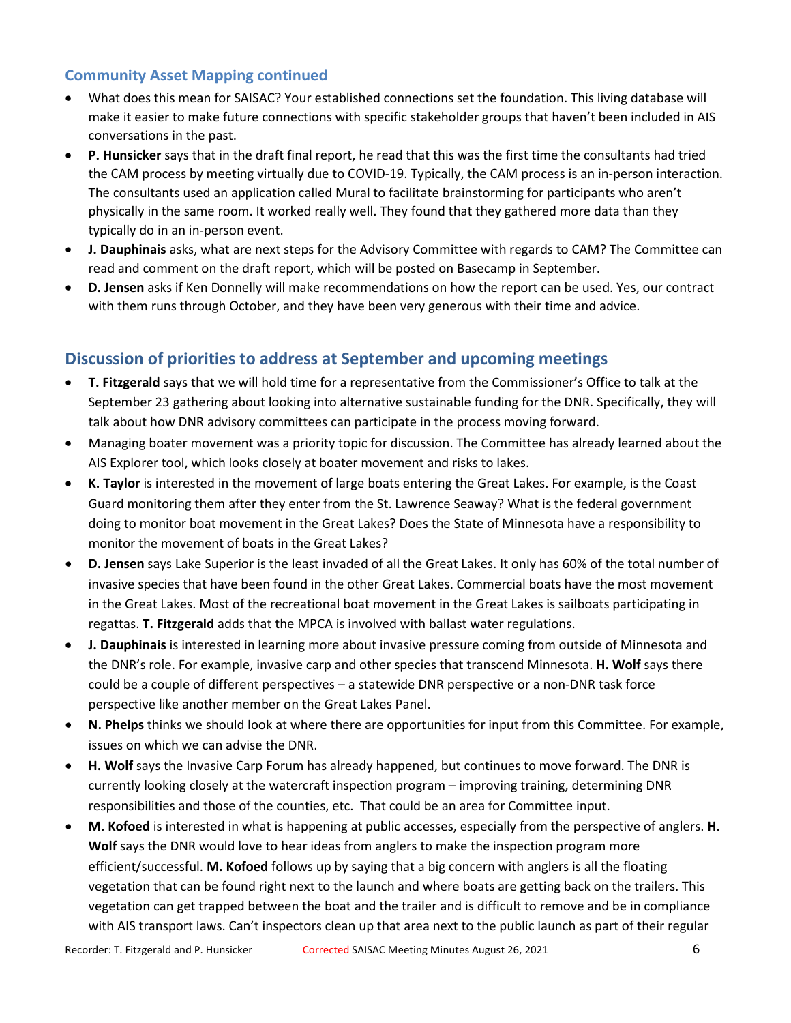#### **Community Asset Mapping continued**

- What does this mean for SAISAC? Your established connections set the foundation. This living database will make it easier to make future connections with specific stakeholder groups that haven't been included in AIS conversations in the past.
- **P. Hunsicker** says that in the draft final report, he read that this was the first time the consultants had tried the CAM process by meeting virtually due to COVID-19. Typically, the CAM process is an in-person interaction. The consultants used an application called Mural to facilitate brainstorming for participants who aren't physically in the same room. It worked really well. They found that they gathered more data than they typically do in an in-person event.
- **J. Dauphinais** asks, what are next steps for the Advisory Committee with regards to CAM? The Committee can read and comment on the draft report, which will be posted on Basecamp in September.
- **D. Jensen** asks if Ken Donnelly will make recommendations on how the report can be used. Yes, our contract with them runs through October, and they have been very generous with their time and advice.

## **Discussion of priorities to address at September and upcoming meetings**

- **T. Fitzgerald** says that we will hold time for a representative from the Commissioner's Office to talk at the September 23 gathering about looking into alternative sustainable funding for the DNR. Specifically, they will talk about how DNR advisory committees can participate in the process moving forward.
- Managing boater movement was a priority topic for discussion. The Committee has already learned about the AIS Explorer tool, which looks closely at boater movement and risks to lakes.
- **K. Taylor** is interested in the movement of large boats entering the Great Lakes. For example, is the Coast Guard monitoring them after they enter from the St. Lawrence Seaway? What is the federal government doing to monitor boat movement in the Great Lakes? Does the State of Minnesota have a responsibility to monitor the movement of boats in the Great Lakes?
- **D. Jensen** says Lake Superior is the least invaded of all the Great Lakes. It only has 60% of the total number of invasive species that have been found in the other Great Lakes. Commercial boats have the most movement in the Great Lakes. Most of the recreational boat movement in the Great Lakes is sailboats participating in regattas. **T. Fitzgerald** adds that the MPCA is involved with ballast water regulations.
- **J. Dauphinais** is interested in learning more about invasive pressure coming from outside of Minnesota and the DNR's role. For example, invasive carp and other species that transcend Minnesota. **H. Wolf** says there could be a couple of different perspectives – a statewide DNR perspective or a non-DNR task force perspective like another member on the Great Lakes Panel.
- **N. Phelps** thinks we should look at where there are opportunities for input from this Committee. For example, issues on which we can advise the DNR.
- **H. Wolf** says the Invasive Carp Forum has already happened, but continues to move forward. The DNR is currently looking closely at the watercraft inspection program – improving training, determining DNR responsibilities and those of the counties, etc. That could be an area for Committee input.
- **M. Kofoed** is interested in what is happening at public accesses, especially from the perspective of anglers. **H. Wolf** says the DNR would love to hear ideas from anglers to make the inspection program more efficient/successful. **M. Kofoed** follows up by saying that a big concern with anglers is all the floating vegetation that can be found right next to the launch and where boats are getting back on the trailers. This vegetation can get trapped between the boat and the trailer and is difficult to remove and be in compliance with AIS transport laws. Can't inspectors clean up that area next to the public launch as part of their regular